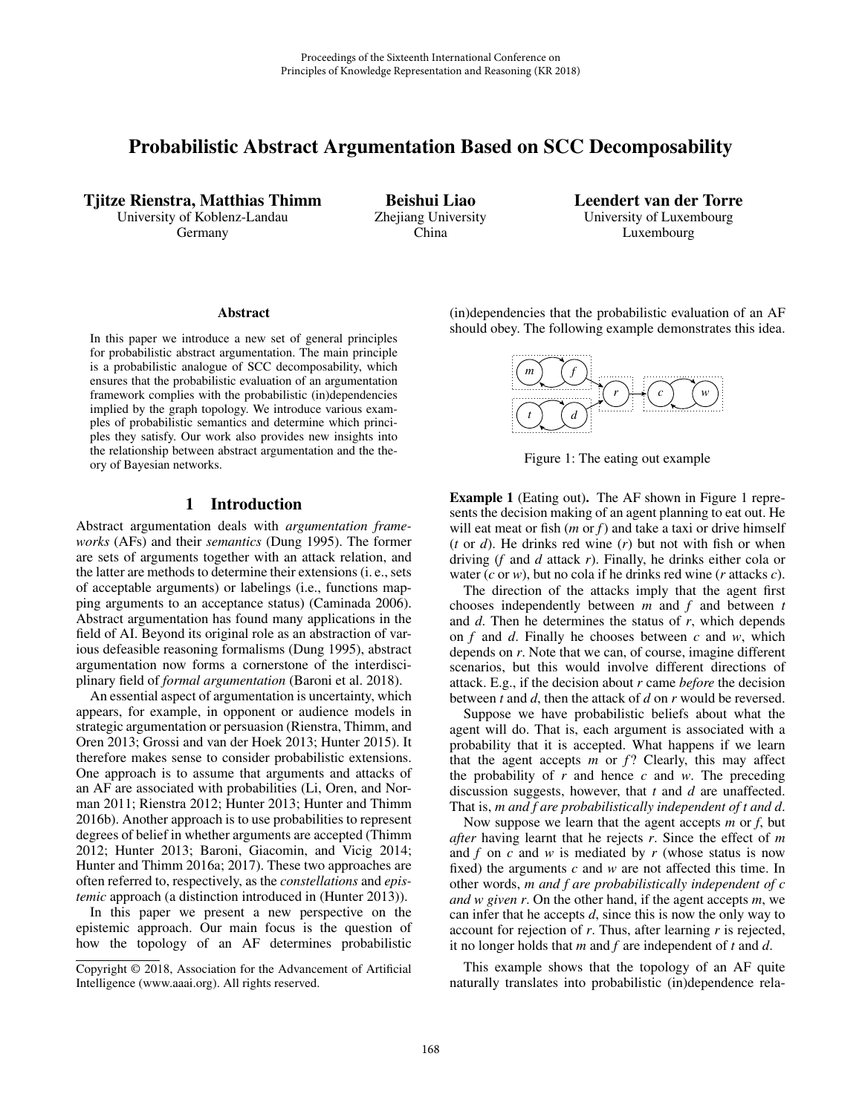# Probabilistic Abstract Argumentation Based on SCC Decomposability

Tjitze Rienstra, Matthias Thimm University of Koblenz-Landau

Germany

Beishui Liao Zhejiang University China

Leendert van der Torre University of Luxembourg Luxembourg

#### **Abstract**

In this paper we introduce a new set of general principles for probabilistic abstract argumentation. The main principle is a probabilistic analogue of SCC decomposability, which ensures that the probabilistic evaluation of an argumentation framework complies with the probabilistic (in)dependencies implied by the graph topology. We introduce various examples of probabilistic semantics and determine which principles they satisfy. Our work also provides new insights into the relationship between abstract argumentation and the theory of Bayesian networks.

# 1 Introduction

Abstract argumentation deals with *argumentation frameworks* (AFs) and their *semantics* (Dung 1995). The former are sets of arguments together with an attack relation, and the latter are methods to determine their extensions (i. e., sets of acceptable arguments) or labelings (i.e., functions mapping arguments to an acceptance status) (Caminada 2006). Abstract argumentation has found many applications in the field of AI. Beyond its original role as an abstraction of various defeasible reasoning formalisms (Dung 1995), abstract argumentation now forms a cornerstone of the interdisciplinary field of *formal argumentation* (Baroni et al. 2018).

An essential aspect of argumentation is uncertainty, which appears, for example, in opponent or audience models in strategic argumentation or persuasion (Rienstra, Thimm, and Oren 2013; Grossi and van der Hoek 2013; Hunter 2015). It therefore makes sense to consider probabilistic extensions. One approach is to assume that arguments and attacks of an AF are associated with probabilities (Li, Oren, and Norman 2011; Rienstra 2012; Hunter 2013; Hunter and Thimm 2016b). Another approach is to use probabilities to represent degrees of belief in whether arguments are accepted (Thimm 2012; Hunter 2013; Baroni, Giacomin, and Vicig 2014; Hunter and Thimm 2016a; 2017). These two approaches are often referred to, respectively, as the *constellations* and *epistemic* approach (a distinction introduced in (Hunter 2013)).

In this paper we present a new perspective on the epistemic approach. Our main focus is the question of how the topology of an AF determines probabilistic

(in)dependencies that the probabilistic evaluation of an AF should obey. The following example demonstrates this idea.



Figure 1: The eating out example

Example 1 (Eating out). The AF shown in Figure 1 represents the decision making of an agent planning to eat out. He will eat meat or fish (*m* or *f*) and take a taxi or drive himself (*t* or *d*). He drinks red wine (*r*) but not with fish or when driving (*f* and *d* attack *r*). Finally, he drinks either cola or water (*c* or *w*), but no cola if he drinks red wine (*r* attacks *c*).

The direction of the attacks imply that the agent first chooses independently between *m* and *f* and between *t* and *d*. Then he determines the status of *r*, which depends on *f* and *d*. Finally he chooses between *c* and *w*, which depends on *r*. Note that we can, of course, imagine different scenarios, but this would involve different directions of attack. E.g., if the decision about *r* came *before* the decision between *t* and *d*, then the attack of *d* on *r* would be reversed.

Suppose we have probabilistic beliefs about what the agent will do. That is, each argument is associated with a probability that it is accepted. What happens if we learn that the agent accepts  $m$  or  $f$ ? Clearly, this may affect the probability of *r* and hence *c* and *w*. The preceding discussion suggests, however, that *t* and *d* are unaffected. That is, *m and f are probabilistically independent of t and d*.

Now suppose we learn that the agent accepts *m* or *f*, but *after* having learnt that he rejects *r*. Since the effect of *m* and *f* on *c* and *w* is mediated by *r* (whose status is now fixed) the arguments *c* and *w* are not affected this time. In other words, *m and f are probabilistically independent of c and w given r*. On the other hand, if the agent accepts *m*, we can infer that he accepts *d*, since this is now the only way to account for rejection of *r*. Thus, after learning *r* is rejected, it no longer holds that *m* and *f* are independent of *t* and *d*.

This example shows that the topology of an AF quite naturally translates into probabilistic (in)dependence rela-

Copyright © 2018, Association for the Advancement of Artificial Intelligence (www.aaai.org). All rights reserved.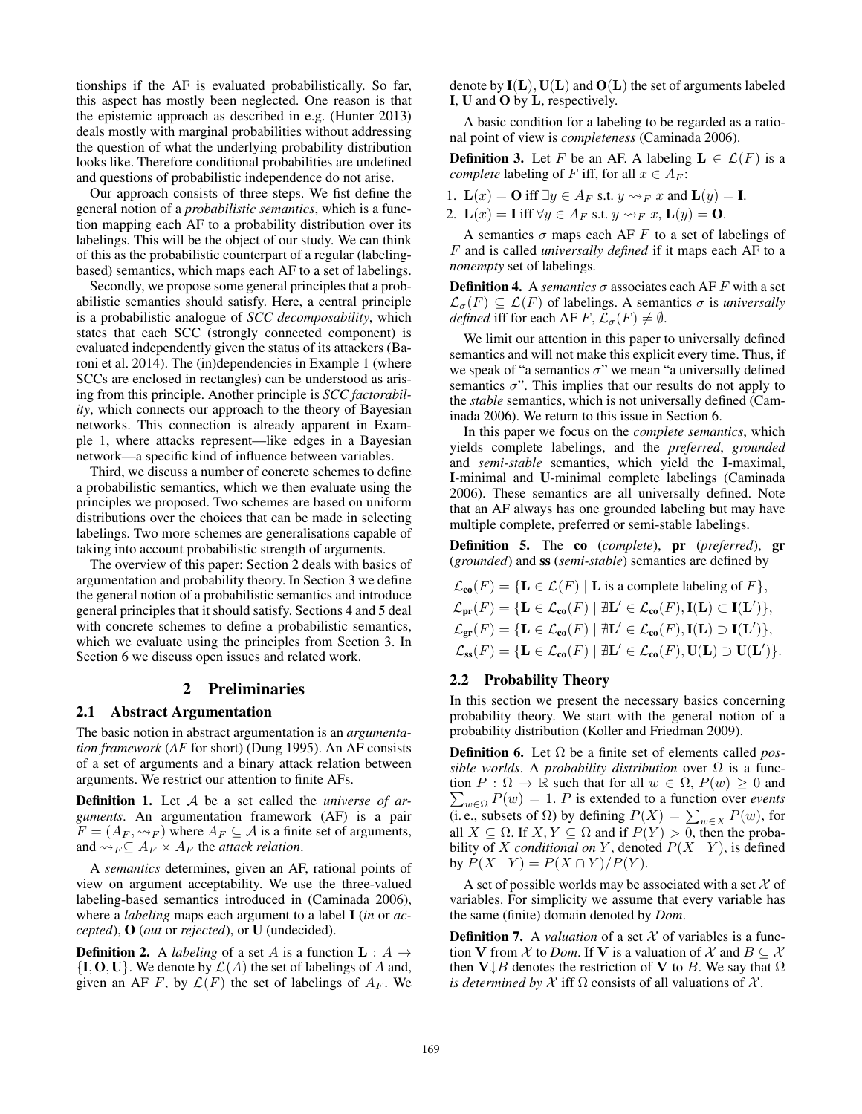tionships if the AF is evaluated probabilistically. So far, this aspect has mostly been neglected. One reason is that the epistemic approach as described in e.g. (Hunter 2013) deals mostly with marginal probabilities without addressing the question of what the underlying probability distribution looks like. Therefore conditional probabilities are undefined and questions of probabilistic independence do not arise.

Our approach consists of three steps. We fist define the general notion of a *probabilistic semantics*, which is a function mapping each AF to a probability distribution over its labelings. This will be the object of our study. We can think of this as the probabilistic counterpart of a regular (labelingbased) semantics, which maps each AF to a set of labelings.

Secondly, we propose some general principles that a probabilistic semantics should satisfy. Here, a central principle is a probabilistic analogue of *SCC decomposability*, which states that each SCC (strongly connected component) is evaluated independently given the status of its attackers (Baroni et al. 2014). The (in)dependencies in Example 1 (where SCCs are enclosed in rectangles) can be understood as arising from this principle. Another principle is *SCC factorability*, which connects our approach to the theory of Bayesian networks. This connection is already apparent in Example 1, where attacks represent—like edges in a Bayesian network—a specific kind of influence between variables.

Third, we discuss a number of concrete schemes to define a probabilistic semantics, which we then evaluate using the principles we proposed. Two schemes are based on uniform distributions over the choices that can be made in selecting labelings. Two more schemes are generalisations capable of taking into account probabilistic strength of arguments.

The overview of this paper: Section 2 deals with basics of argumentation and probability theory. In Section 3 we define the general notion of a probabilistic semantics and introduce general principles that it should satisfy. Sections 4 and 5 deal with concrete schemes to define a probabilistic semantics, which we evaluate using the principles from Section 3. In Section 6 we discuss open issues and related work.

### 2 Preliminaries

#### 2.1 Abstract Argumentation

The basic notion in abstract argumentation is an *argumentation framework* (*AF* for short) (Dung 1995). An AF consists of a set of arguments and a binary attack relation between arguments. We restrict our attention to finite AFs.

Definition 1. Let A be a set called the *universe of arguments*. An argumentation framework (AF) is a pair  $F = (A_F, \leadsto_F)$  where  $A_F \subseteq \mathcal{A}$  is a finite set of arguments, and  $\rightsquigarrow_F \subseteq A_F \times A_F$  the *attack relation*.

A *semantics* determines, given an AF, rational points of view on argument acceptability. We use the three-valued labeling-based semantics introduced in (Caminada 2006), where a *labeling* maps each argument to a label I (*in* or *accepted*), O (*out* or *rejected*), or U (undecided).

**Definition 2.** A *labeling* of a set A is a function  $L : A \rightarrow$  $\{I, O, U\}$ . We denote by  $\mathcal{L}(A)$  the set of labelings of A and, given an AF F, by  $\mathcal{L}(F)$  the set of labelings of  $A_F$ . We denote by  $I(L)$ ,  $U(L)$  and  $O(L)$  the set of arguments labeled I, U and O by L, respectively.

A basic condition for a labeling to be regarded as a rational point of view is *completeness* (Caminada 2006).

**Definition 3.** Let F be an AF. A labeling  $L \in \mathcal{L}(F)$  is a *complete* labeling of F iff, for all  $x \in A_F$ :

1.  $\mathbf{L}(x) = \mathbf{O}$  iff  $\exists y \in A_F$  s.t.  $y \rightarrow_F x$  and  $\mathbf{L}(y) = \mathbf{I}$ .

2.  $\mathbf{L}(x) = \mathbf{I}$  iff  $\forall y \in A_F$  s.t.  $y \leadsto_F x$ ,  $\mathbf{L}(y) = \mathbf{0}$ .

A semantics  $\sigma$  maps each AF F to a set of labelings of F and is called *universally defined* if it maps each AF to a *nonempty* set of labelings.

**Definition 4.** A *semantics*  $\sigma$  associates each AF F with a set  $\mathcal{L}_{\sigma}(F) \subseteq \mathcal{L}(F)$  of labelings. A semantics  $\sigma$  is *universally defined* iff for each AF F,  $\mathcal{L}_{\sigma}(F) \neq \emptyset$ .

We limit our attention in this paper to universally defined semantics and will not make this explicit every time. Thus, if we speak of "a semantics  $\sigma$ " we mean "a universally defined semantics  $\sigma$ ". This implies that our results do not apply to the *stable* semantics, which is not universally defined (Caminada 2006). We return to this issue in Section 6.

In this paper we focus on the *complete semantics*, which yields complete labelings, and the *preferred*, *grounded* and *semi-stable* semantics, which yield the I-maximal, I-minimal and U-minimal complete labelings (Caminada 2006). These semantics are all universally defined. Note that an AF always has one grounded labeling but may have multiple complete, preferred or semi-stable labelings.

Definition 5. The co (*complete*), pr (*preferred*), gr (*grounded*) and ss (*semi-stable*) semantics are defined by

$$
\mathcal{L}_{co}(F) = \{ \mathbf{L} \in \mathcal{L}(F) \mid \mathbf{L} \text{ is a complete labeling of } F \},
$$
  
\n
$$
\mathcal{L}_{pr}(F) = \{ \mathbf{L} \in \mathcal{L}_{co}(F) \mid \nexists \mathbf{L}' \in \mathcal{L}_{co}(F), \mathbf{I}(\mathbf{L}) \subset \mathbf{I}(\mathbf{L}') \},
$$
  
\n
$$
\mathcal{L}_{gr}(F) = \{ \mathbf{L} \in \mathcal{L}_{co}(F) \mid \nexists \mathbf{L}' \in \mathcal{L}_{co}(F), \mathbf{I}(\mathbf{L}) \supset \mathbf{I}(\mathbf{L}') \},
$$
  
\n
$$
\mathcal{L}_{ss}(F) = \{ \mathbf{L} \in \mathcal{L}_{co}(F) \mid \nexists \mathbf{L}' \in \mathcal{L}_{co}(F), \mathbf{U}(\mathbf{L}) \supset \mathbf{U}(\mathbf{L}') \}.
$$

# 2.2 Probability Theory

In this section we present the necessary basics concerning probability theory. We start with the general notion of a probability distribution (Koller and Friedman 2009).

Definition 6. Let Ω be a finite set of elements called *possible worlds*. A *probability distribution* over Ω is a func- $\sum_{w \in \Omega} P(w) = 1$ . *P* is extended to a function over *events* tion  $P : \Omega \to \mathbb{R}$  such that for all  $w \in \Omega$ ,  $P(w) \geq 0$  and (i. e., subsets of  $\Omega$ ) by defining  $P(X) = \sum_{w \in X} P(w)$ , for all  $X \subseteq \Omega$ . If  $X, Y \subseteq \Omega$  and if  $P(Y) > 0$ , then the probability of X *conditional on* Y, denoted  $P(X | Y)$ , is defined by  $P(X | Y) = P(X \cap Y)/P(Y)$ .

A set of possible worlds may be associated with a set  $\mathcal X$  of variables. For simplicity we assume that every variable has the same (finite) domain denoted by *Dom*.

**Definition 7.** A *valuation* of a set  $X$  of variables is a function V from  $\mathcal X$  to *Dom*. If V is a valuation of  $\mathcal X$  and  $B \subseteq \mathcal X$ then  $V \downarrow B$  denotes the restriction of V to B. We say that  $\Omega$ *is determined by*  $X$  iff  $\Omega$  consists of all valuations of  $X$ .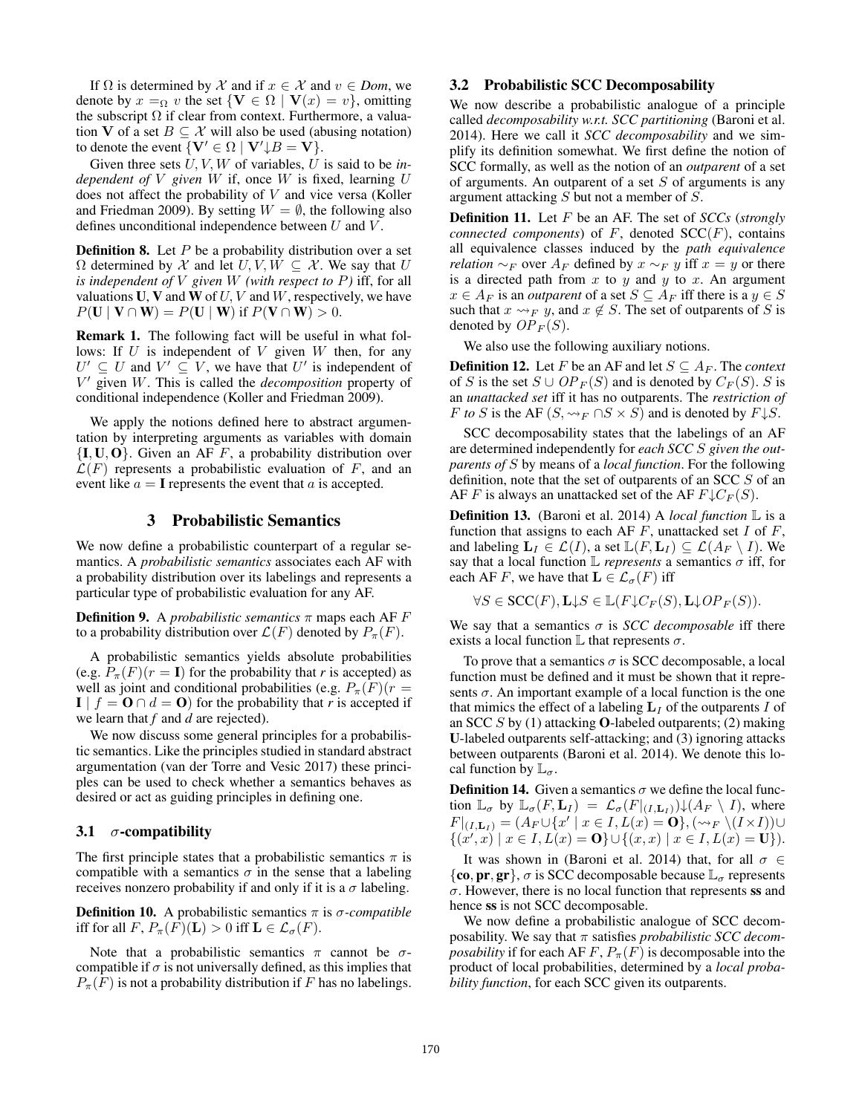If  $\Omega$  is determined by X and if  $x \in X$  and  $v \in Dom$ , we denote by  $x =_{\Omega} v$  the set  $\{V \in \Omega \mid V(x) = v\}$ , omitting the subscript  $\Omega$  if clear from context. Furthermore, a valuation V of a set  $B \subseteq \mathcal{X}$  will also be used (abusing notation) to denote the event  $\{V' \in \Omega \mid V' \downarrow B = V\}.$ 

Given three sets U, V, W of variables, U is said to be *independent of* V *given* W if, once W is fixed, learning U does not affect the probability of V and vice versa (Koller and Friedman 2009). By setting  $W = \emptyset$ , the following also defines unconditional independence between  $U$  and  $V$ .

**Definition 8.** Let  $P$  be a probability distribution over a set  $\Omega$  determined by X and let  $U, V, W \subseteq X$ . We say that U *is independent of* V *given* W *(with respect to* P*)* iff, for all valuations U, V and W of  $U, V$  and W, respectively, we have  $P(\mathbf{U} \mid \mathbf{V} \cap \mathbf{W}) = P(\mathbf{U} \mid \mathbf{W})$  if  $P(\mathbf{V} \cap \mathbf{W}) > 0$ .

Remark 1. The following fact will be useful in what follows: If  $U$  is independent of  $V$  given  $W$  then, for any  $U' \subseteq U$  and  $V' \subseteq V$ , we have that U' is independent of V <sup>0</sup> given W. This is called the *decomposition* property of conditional independence (Koller and Friedman 2009).

We apply the notions defined here to abstract argumentation by interpreting arguments as variables with domain  ${I, U, O}$ . Given an AF F, a probability distribution over  $\mathcal{L}(F)$  represents a probabilistic evaluation of F, and an event like  $a = I$  represents the event that a is accepted.

# 3 Probabilistic Semantics

We now define a probabilistic counterpart of a regular semantics. A *probabilistic semantics* associates each AF with a probability distribution over its labelings and represents a particular type of probabilistic evaluation for any AF.

**Definition 9.** A *probabilistic semantics*  $\pi$  maps each AF  $F$ to a probability distribution over  $\mathcal{L}(F)$  denoted by  $P_{\pi}(F)$ .

A probabilistic semantics yields absolute probabilities (e.g.  $P_{\pi}(F)(r = I)$  for the probability that *r* is accepted) as well as joint and conditional probabilities (e.g.  $P_{\pi}(F)(r =$  $\mathbf{I} \mid f = \mathbf{O} \cap d = \mathbf{O}$  for the probability that *r* is accepted if we learn that *f* and *d* are rejected).

We now discuss some general principles for a probabilistic semantics. Like the principles studied in standard abstract argumentation (van der Torre and Vesic 2017) these principles can be used to check whether a semantics behaves as desired or act as guiding principles in defining one.

#### 3.1  $\sigma$ -compatibility

The first principle states that a probabilistic semantics  $\pi$  is compatible with a semantics  $\sigma$  in the sense that a labeling receives nonzero probability if and only if it is a  $\sigma$  labeling.

**Definition 10.** A probabilistic semantics  $\pi$  is  $\sigma$ -compatible iff for all  $F$ ,  $P_{\pi}(F)(\mathbf{L}) > 0$  iff  $\mathbf{L} \in \mathcal{L}_{\sigma}(F)$ .

Note that a probabilistic semantics  $\pi$  cannot be  $\sigma$ compatible if  $\sigma$  is not universally defined, as this implies that  $P_{\pi}(F)$  is not a probability distribution if F has no labelings.

# 3.2 Probabilistic SCC Decomposability

We now describe a probabilistic analogue of a principle called *decomposability w.r.t. SCC partitioning* (Baroni et al. 2014). Here we call it *SCC decomposability* and we simplify its definition somewhat. We first define the notion of SCC formally, as well as the notion of an *outparent* of a set of arguments. An outparent of a set  $S$  of arguments is any argument attacking S but not a member of S.

Definition 11. Let F be an AF. The set of *SCCs* (*strongly connected components*) of  $F$ , denoted  $SCC(F)$ , contains all equivalence classes induced by the *path equivalence relation* ∼<sub>F</sub> over  $A_F$  defined by  $x \sim_F y$  iff  $x = y$  or there is a directed path from  $x$  to  $y$  and  $y$  to  $x$ . An argument  $x \in A_F$  is an *outparent* of a set  $S \subseteq A_F$  iff there is a  $y \in S$ such that  $x \rightarrow_F y$ , and  $x \notin S$ . The set of outparents of S is denoted by  $OP_F(S)$ .

We also use the following auxiliary notions.

**Definition 12.** Let F be an AF and let  $S \subseteq A_F$ . The *context* of S is the set  $S \cup OP_F(S)$  and is denoted by  $C_F(S)$ . S is an *unattacked set* iff it has no outparents. The *restriction of F to S* is the AF  $(S, \rightsquigarrow_F \bigcap S \times S)$  and is denoted by  $F \downarrow S$ .

SCC decomposability states that the labelings of an AF are determined independently for *each SCC* S *given the outparents of* S by means of a *local function*. For the following definition, note that the set of outparents of an SCC S of an AF F is always an unattacked set of the AF  $F\downarrow C_F(S)$ .

Definition 13. (Baroni et al. 2014) A *local function* L is a function that assigns to each AF  $F$ , unattacked set  $I$  of  $F$ , and labeling  $\mathbf{L}_I \in \mathcal{L}(I)$ , a set  $\mathbb{L}(F, \mathbf{L}_I) \subseteq \mathcal{L}(A_F \setminus I)$ . We say that a local function  $\mathbb L$  *represents* a semantics  $\sigma$  iff, for each AF F, we have that  $\mathbf{L} \in \mathcal{L}_{\sigma}(F)$  iff

$$
\forall S \in \mathsf{SCC}(F), \mathbf{L} \downarrow S \in \mathbb{L}(F \downarrow C_F(S), \mathbf{L} \downarrow OP_F(S)).
$$

We say that a semantics  $\sigma$  is *SCC decomposable* iff there exists a local function  $\mathbb L$  that represents  $\sigma$ .

To prove that a semantics  $\sigma$  is SCC decomposable, a local function must be defined and it must be shown that it represents  $\sigma$ . An important example of a local function is the one that mimics the effect of a labeling  $L_I$  of the outparents I of an SCC S by  $(1)$  attacking **O**-labeled outparents;  $(2)$  making U-labeled outparents self-attacking; and (3) ignoring attacks between outparents (Baroni et al. 2014). We denote this local function by  $\mathbb{L}_{\sigma}$ .

**Definition 14.** Given a semantics  $\sigma$  we define the local function  $\mathbb{L}_{\sigma}$  by  $\mathbb{L}_{\sigma}(F, \mathbf{L}_I) = \mathcal{L}_{\sigma}(F|_{(I, \mathbf{L}_I)}) \downarrow (A_F \setminus I)$ , where  $F|_{(I,\mathbf{L}_I)}=(A_F\cup\{x'\mid x\in I,L(x)=\mathbf{0}\},(\leadsto_F\backslash(I\times I))\cup$  $\{(x',x) \mid x \in I, L(x) = \mathbf{O}\} \cup \{(x,x) \mid x \in I, L(x) = \mathbf{U}\}).$ 

It was shown in (Baroni et al. 2014) that, for all  $\sigma \in$ {co, pr, gr},  $\sigma$  is SCC decomposable because  $\mathbb{L}_{\sigma}$  represents  $\sigma$ . However, there is no local function that represents ss and hence ss is not SCC decomposable.

We now define a probabilistic analogue of SCC decomposability. We say that π satisfies *probabilistic SCC decomposability* if for each AF  $F$ ,  $P_{\pi}(F)$  is decomposable into the product of local probabilities, determined by a *local probability function*, for each SCC given its outparents.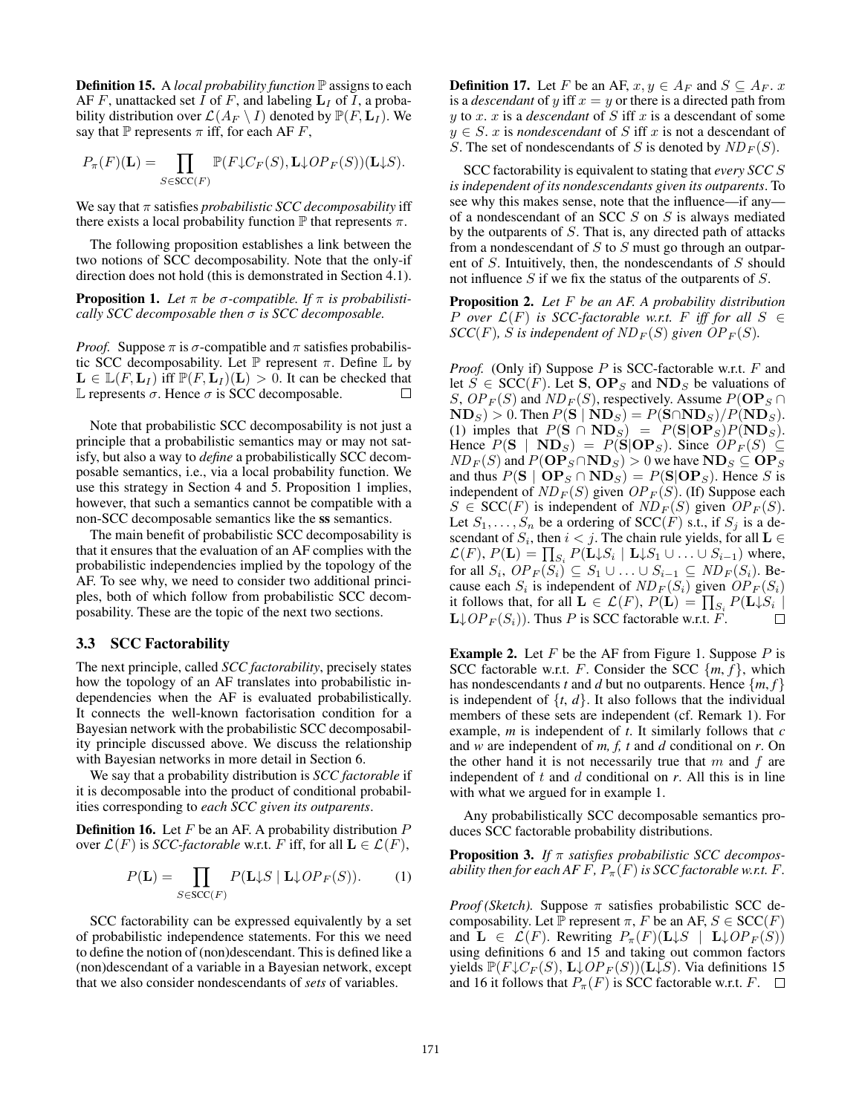Definition 15. A *local probability function* P assigns to each AF F, unattacked set I of F, and labeling  $L_I$  of I, a probability distribution over  $\mathcal{L}(A_F \setminus I)$  denoted by  $\mathbb{P}(F, L_I)$ . We say that  $\mathbb P$  represents  $\pi$  iff, for each AF F,

$$
P_{\pi}(F)(\mathbf{L}) = \prod_{S \in \mathrm{SCC}(F)} \mathbb{P}(F \downarrow C_F(S), \mathbf{L} \downarrow OP_F(S))(\mathbf{L} \downarrow S).
$$

We say that  $\pi$  satisfies *probabilistic SCC decomposability* iff there exists a local probability function  $\mathbb P$  that represents  $\pi$ .

The following proposition establishes a link between the two notions of SCC decomposability. Note that the only-if direction does not hold (this is demonstrated in Section 4.1).

**Proposition 1.** Let  $\pi$  be  $\sigma$ -compatible. If  $\pi$  is probabilisti*cally SCC decomposable then* σ *is SCC decomposable.*

*Proof.* Suppose  $\pi$  is  $\sigma$ -compatible and  $\pi$  satisfies probabilistic SCC decomposability. Let  $\mathbb P$  represent π. Define  $\mathbb L$  by  $\mathbf{L} \in \mathbb{L}(F, \mathbf{L}_I)$  iff  $\mathbb{P}(F, \mathbf{L}_I)(\mathbf{L}) > 0$ . It can be checked that L represents  $\sigma$ . Hence  $\sigma$  is SCC decomposable.  $\Box$ 

Note that probabilistic SCC decomposability is not just a principle that a probabilistic semantics may or may not satisfy, but also a way to *define* a probabilistically SCC decomposable semantics, i.e., via a local probability function. We use this strategy in Section 4 and 5. Proposition 1 implies, however, that such a semantics cannot be compatible with a non-SCC decomposable semantics like the ss semantics.

The main benefit of probabilistic SCC decomposability is that it ensures that the evaluation of an AF complies with the probabilistic independencies implied by the topology of the AF. To see why, we need to consider two additional principles, both of which follow from probabilistic SCC decomposability. These are the topic of the next two sections.

#### 3.3 SCC Factorability

The next principle, called *SCC factorability*, precisely states how the topology of an AF translates into probabilistic independencies when the AF is evaluated probabilistically. It connects the well-known factorisation condition for a Bayesian network with the probabilistic SCC decomposability principle discussed above. We discuss the relationship with Bayesian networks in more detail in Section 6.

We say that a probability distribution is *SCC factorable* if it is decomposable into the product of conditional probabilities corresponding to *each SCC given its outparents*.

**Definition 16.** Let  $F$  be an AF. A probability distribution  $P$ over  $\mathcal{L}(F)$  is *SCC-factorable* w.r.t. F iff, for all  $\mathbf{L} \in \mathcal{L}(F)$ ,

$$
P(\mathbf{L}) = \prod_{S \in \text{SCC}(F)} P(\mathbf{L} \downarrow S \mid \mathbf{L} \downarrow OP_F(S)). \tag{1}
$$

SCC factorability can be expressed equivalently by a set of probabilistic independence statements. For this we need to define the notion of (non)descendant. This is defined like a (non)descendant of a variable in a Bayesian network, except that we also consider nondescendants of *sets* of variables.

**Definition 17.** Let F be an AF,  $x, y \in A_F$  and  $S \subseteq A_F$ . x is a *descendant* of y iff  $x = y$  or there is a directed path from  $y$  to  $x$ .  $x$  is a *descendant* of  $S$  iff  $x$  is a descendant of some  $y \in S$ . x is *nondescendant* of S iff x is not a descendant of S. The set of nondescendants of S is denoted by  $ND_F(S)$ .

SCC factorability is equivalent to stating that *every SCC* S *is independent of its nondescendants given its outparents*. To see why this makes sense, note that the influence—if any of a nondescendant of an SCC S on S is always mediated by the outparents of S. That is, any directed path of attacks from a nondescendant of  $S$  to  $S$  must go through an outparent of  $S$ . Intuitively, then, the nondescendants of  $S$  should not influence  $S$  if we fix the status of the outparents of  $S$ .

Proposition 2. *Let* F *be an AF. A probability distribution P* over  $\mathcal{L}(F)$  *is SCC-factorable w.r.t. F iff for all*  $S \in$  $SCC(F)$ *, S is independent of ND<sub>F</sub>(S)</sub> given OP<sub>F</sub>(S).* 

*Proof.* (Only if) Suppose P is SCC-factorable w.r.t. F and let  $S \in \text{SCC}(F)$ . Let **S**,  $\mathbf{OP}_S$  and  $\mathbf{ND}_S$  be valuations of S,  $OP_F(S)$  and  $ND_F(S)$ , respectively. Assume  $P(\mathbf{OP}_S \cap$  $\mathbf{ND}_S$ ) > 0. Then  $P(\mathbf{S} | \mathbf{ND}_S) = P(\mathbf{S} \cap \mathbf{ND}_S) / P(\mathbf{ND}_S)$ . (1) imples that  $P(S \cap ND_S) = P(S|OP_S)P(ND_S)$ . Hence  $P(S | ND<sub>S</sub>) = P(S | OP<sub>S</sub>)$ . Since  $OP<sub>F</sub>(S) \subseteq$  $ND_F(S)$  and  $P(\mathbf{OP}_S \cap \mathbf{ND}_S) > 0$  we have  $\mathbf{ND}_S \subseteq \mathbf{OP}_S$ and thus  $P(S | OP<sub>S</sub> \cap ND<sub>S</sub>) = P(S|OP<sub>S</sub>)$ . Hence S is independent of  $ND_F(S)$  given  $OP_F(S)$ . (If) Suppose each  $S \in \text{SCC}(F)$  is independent of  $ND_F(S)$  given  $OP_F(S)$ . Let  $S_1, \ldots, S_n$  be a ordering of SCC(F) s.t., if  $S_i$  is a descendant of  $S_i$ , then  $i < j$ . The chain rule yields, for all  $L \in$  $\mathcal{L}(F)$ ,  $P(\mathbf{L}) = \prod_{S_i} P(\mathbf{L} \downarrow S_i \mid \mathbf{L} \downarrow S_1 \cup \ldots \cup S_{i-1})$  where, for all  $S_i$ ,  $OP_F(S_i) \subseteq S_1 \cup \ldots \cup S_{i-1} \subseteq ND_F(S_i)$ . Because each  $S_i$  is independent of  $ND_F(S_i)$  given  $OP_F(S_i)$ it follows that, for all  $\mathbf{L} \in \mathcal{L}(F)$ ,  $P(\mathbf{L}) = \prod_{S_i} P(\mathbf{L} \downarrow S_i |$  $\mathbf{L} \downarrow OP_F(S_i)$ . Thus P is SCC factorable w.r.t. F.  $\Box$ 

**Example 2.** Let  $F$  be the AF from Figure 1. Suppose  $P$  is SCC factorable w.r.t. F. Consider the SCC  $\{m, f\}$ , which has nondescendants *t* and *d* but no outparents. Hence  $\{m, f\}$ is independent of  $\{t, d\}$ . It also follows that the individual members of these sets are independent (cf. Remark 1). For example, *m* is independent of *t*. It similarly follows that *c* and *w* are independent of *m, f, t* and *d* conditional on *r*. On the other hand it is not necessarily true that  $m$  and  $f$  are independent of  $t$  and  $d$  conditional on  $r$ . All this is in line with what we argued for in example 1.

Any probabilistically SCC decomposable semantics produces SCC factorable probability distributions.

Proposition 3. *If* π *satisfies probabilistic SCC decomposability then for each AF F,*  $P_{\pi}(F)$  *is SCC factorable w.r.t. F.* 

*Proof (Sketch).* Suppose  $\pi$  satisfies probabilistic SCC decomposability. Let P represent  $\pi$ , F be an AF,  $S \in \text{SCC}(F)$ and  $\mathbf{L} \in \mathcal{L}(F)$ . Rewriting  $P_{\pi}(F)(\mathbf{L} \downarrow S \mid \mathbf{L} \downarrow OP_F(S))$ using definitions 6 and 15 and taking out common factors yields  $\mathbb{P}(F\downarrow C_F(S), L\downarrow OP_F(S))$  (L $\downarrow S$ ). Via definitions 15 and 16 it follows that  $P_{\pi}(F)$  is SCC factorable w.r.t.  $F$ .  $\Box$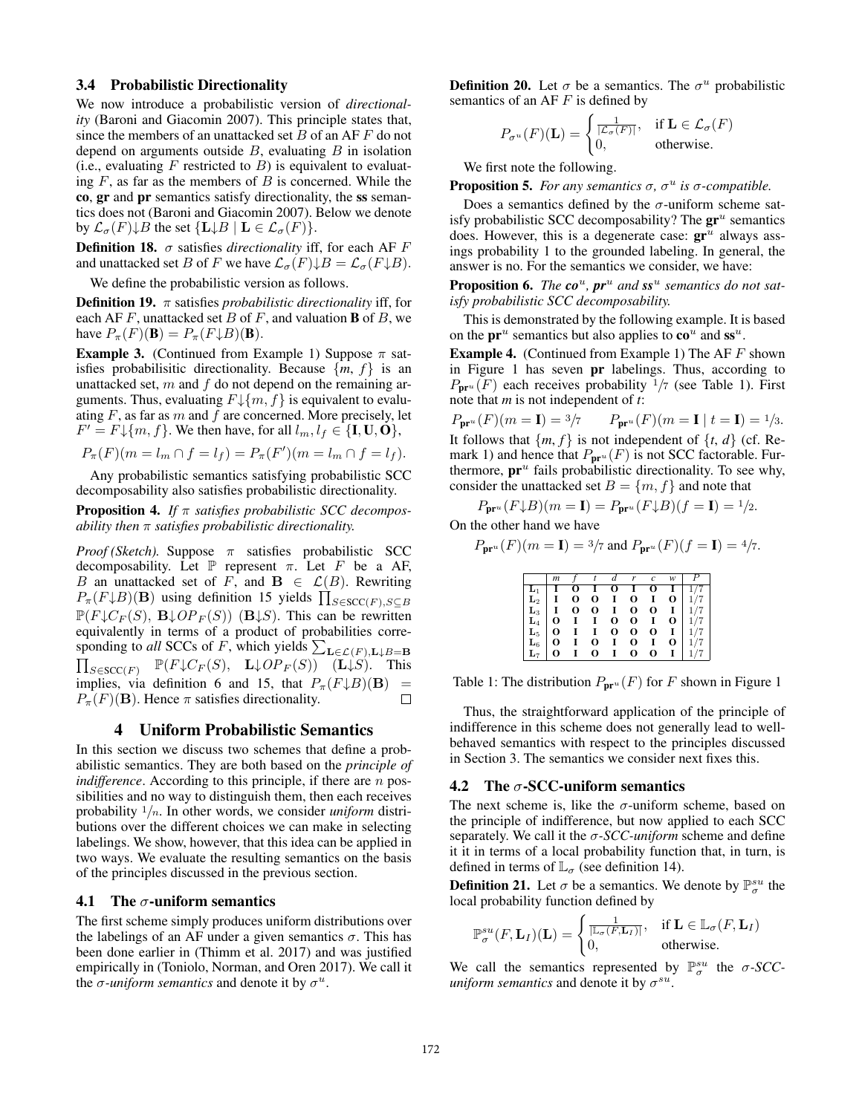# 3.4 Probabilistic Directionality

We now introduce a probabilistic version of *directionality* (Baroni and Giacomin 2007). This principle states that, since the members of an unattacked set  $B$  of an AF  $F$  do not depend on arguments outside  $B$ , evaluating  $B$  in isolation (i.e., evaluating F restricted to B) is equivalent to evaluating  $F$ , as far as the members of  $B$  is concerned. While the co, gr and pr semantics satisfy directionality, the ss semantics does not (Baroni and Giacomin 2007). Below we denote by  $\mathcal{L}_{\sigma}(F) \downarrow B$  the set  $\{L \downarrow B \mid L \in \mathcal{L}_{\sigma}(F)\}.$ 

**Definition 18.**  $\sigma$  satisfies *directionality* iff, for each AF  $F$ and unattacked set B of F we have  $\mathcal{L}_{\sigma}(F) \downarrow B = \mathcal{L}_{\sigma}(F \downarrow B)$ .

We define the probabilistic version as follows.

Definition 19. π satisfies *probabilistic directionality* iff, for each AF F, unattacked set B of F, and valuation **B** of B, we have  $P_{\pi}(F)(\mathbf{B}) = P_{\pi}(F \downarrow B)(\mathbf{B}).$ 

**Example 3.** (Continued from Example 1) Suppose  $\pi$  satisfies probabilisitic directionality. Because  $\{m, f\}$  is an unattacked set,  $m$  and  $f$  do not depend on the remaining arguments. Thus, evaluating  $F\downarrow\{m, f\}$  is equivalent to evaluating  $F$ , as far as  $m$  and  $f$  are concerned. More precisely, let  $F' = F \downarrow \{m, f\}$ . We then have, for all  $l_m, l_f \in \{I, U, O\}$ ,

$$
P_{\pi}(F)(m = l_m \cap f = l_f) = P_{\pi}(F')(m = l_m \cap f = l_f).
$$

Any probabilistic semantics satisfying probabilistic SCC decomposability also satisfies probabilistic directionality.

Proposition 4. *If* π *satisfies probabilistic SCC decomposability then* π *satisfies probabilistic directionality.*

*Proof (Sketch).* Suppose  $\pi$  satisfies probabilistic SCC decomposability. Let  $\mathbb P$  represent  $\pi$ . Let  $F$  be a AF, B an unattacked set of F, and  $\mathbf{B} \in \mathcal{L}(B)$ . Rewriting  $P_{\pi}(F \downarrow B)(\mathbf{B})$  using definition 15 yields  $\prod_{S \in \text{SCC}(F), S \subseteq B}$  $\mathbb{P}(F\downarrow C_F(S), \mathbf{B}\downarrow OP_F(S))$  (B $\downarrow S$ ). This can be rewritten equivalently in terms of a product of probabilities corresponding to *all* SCCs of F, which yields  $\sum_{\mathbf{L}\in\mathcal{L}(F),\mathbf{L}\downarrow B=\mathbf{B}}$  $\prod_{S \in {\operatorname{SCC}}(F)} \mathbb{P}(F \downarrow C_F(S), \mathbf{L} \downarrow OP_F(S))$  (L $\downarrow S$ ). This implies, via definition 6 and 15, that  $P_{\pi}(F \downarrow B)(B)$  =  $P_{\pi}(F)(\mathbf{B})$ . Hence  $\pi$  satisfies directionality. П

### 4 Uniform Probabilistic Semantics

In this section we discuss two schemes that define a probabilistic semantics. They are both based on the *principle of indifference*. According to this principle, if there are *n* possibilities and no way to distinguish them, then each receives probability <sup>1</sup>/n. In other words, we consider *uniform* distributions over the different choices we can make in selecting labelings. We show, however, that this idea can be applied in two ways. We evaluate the resulting semantics on the basis of the principles discussed in the previous section.

#### 4.1 The  $\sigma$ -uniform semantics

The first scheme simply produces uniform distributions over the labelings of an AF under a given semantics  $\sigma$ . This has been done earlier in (Thimm et al. 2017) and was justified empirically in (Toniolo, Norman, and Oren 2017). We call it the  $\sigma$ -uniform semantics and denote it by  $\sigma^u$ .

**Definition 20.** Let  $\sigma$  be a semantics. The  $\sigma^u$  probabilistic semantics of an AF $F$  is defined by

$$
P_{\sigma^u}(F)(\mathbf{L}) = \begin{cases} \frac{1}{|\mathcal{L}_{\sigma}(F)|}, & \text{if } \mathbf{L} \in \mathcal{L}_{\sigma}(F) \\ 0, & \text{otherwise.} \end{cases}
$$

We first note the following.

**Proposition 5.** For any semantics  $\sigma$ ,  $\sigma^u$  is  $\sigma$ -compatible.

Does a semantics defined by the  $\sigma$ -uniform scheme satisfy probabilistic SCC decomposability? The  $gr^u$  semantics does. However, this is a degenerate case:  $gr^u$  always assings probability 1 to the grounded labeling. In general, the answer is no. For the semantics we consider, we have:

Proposition 6. *The*  $\mathbf{co}^u$ ,  $\mathbf{pr}^u$  and  $\mathbf{ss}^u$  semantics do not sat*isfy probabilistic SCC decomposability.*

This is demonstrated by the following example. It is based on the  $\mathbf{pr}^u$  semantics but also applies to  $\mathbf{co}^u$  and  $\mathbf{ss}^u$ .

**Example 4.** (Continued from Example 1) The AF  $F$  shown in Figure 1 has seven pr labelings. Thus, according to  $P_{\mathbf{pr}^u}(F)$  each receives probability  $1/7$  (see Table 1). First note that *m* is not independent of *t*:

$$
P_{\mathbf{p}r^u}(F)(m = \mathbf{I}) = \frac{3}{7}
$$
  $P_{\mathbf{p}r^u}(F)(m = \mathbf{I} \mid t = \mathbf{I}) = \frac{1}{3}$ .  
It follows that  $\{m, f\}$  is not independent of  $\{t, d\}$  (cf. Remark 1) and hence that  $P_{\mathbf{p}r^u}(F)$  is not SCC factorable. Furthermore,  $\mathbf{p}r^u$  fails probabilistic directionality. To see why, consider the unattacked set  $B = \{m, f\}$  and note that

 $P_{\mathbf{pr}^u}(F \downarrow B)(m = \mathbf{I}) = P_{\mathbf{pr}^u}(F \downarrow B)(f = \mathbf{I}) = \frac{1}{2}.$ 

On the other hand we have

$$
P_{\mathbf{pr}^u}(F)(m=\mathbf{I}) = \frac{3}{7} \text{ and } P_{\mathbf{pr}^u}(F)(f=\mathbf{I}) = \frac{4}{7}.
$$

|                | m        |   |   |          | r | c | w |  |
|----------------|----------|---|---|----------|---|---|---|--|
|                |          | O |   | о        |   | O |   |  |
| L2             |          | О | О | 1        | O |   | O |  |
| $\mathbf{L}_3$ |          | О | О | 1        | O | О |   |  |
| $\mathbf{L}_4$ | о        |   |   | $\bf{o}$ | O |   | O |  |
| $\mathbf{L}_5$ | 0        |   | 1 | $\bf{O}$ | о | O |   |  |
| $\mathbf{L}_6$ | о        |   | О | I        | O |   | О |  |
|                | $\Omega$ |   | 0 |          | O | 0 |   |  |

Table 1: The distribution  $P_{\mathbf{pr}^u}(F)$  for F shown in Figure 1

Thus, the straightforward application of the principle of indifference in this scheme does not generally lead to wellbehaved semantics with respect to the principles discussed in Section 3. The semantics we consider next fixes this.

#### 4.2 The  $\sigma$ -SCC-uniform semantics

The next scheme is, like the  $\sigma$ -uniform scheme, based on the principle of indifference, but now applied to each SCC separately. We call it the σ*-SCC-uniform* scheme and define it it in terms of a local probability function that, in turn, is defined in terms of  $\mathbb{L}_{\sigma}$  (see definition 14).

**Definition 21.** Let  $\sigma$  be a semantics. We denote by  $\mathbb{P}^{su}_{\sigma}$  the local probability function defined by

$$
\mathbb{P}^{su}_{\sigma}(F, \mathbf{L}_I)(\mathbf{L}) = \begin{cases} \frac{1}{|\mathbb{L}_{\sigma}(F, \mathbf{L}_I)|}, & \text{if } \mathbf{L} \in \mathbb{L}_{\sigma}(F, \mathbf{L}_I) \\ 0, & \text{otherwise.} \end{cases}
$$

We call the semantics represented by  $\mathbb{P}^{su}_{\sigma}$  the  $\sigma$ -*SCCuniform semantics* and denote it by  $\sigma^{su}$ .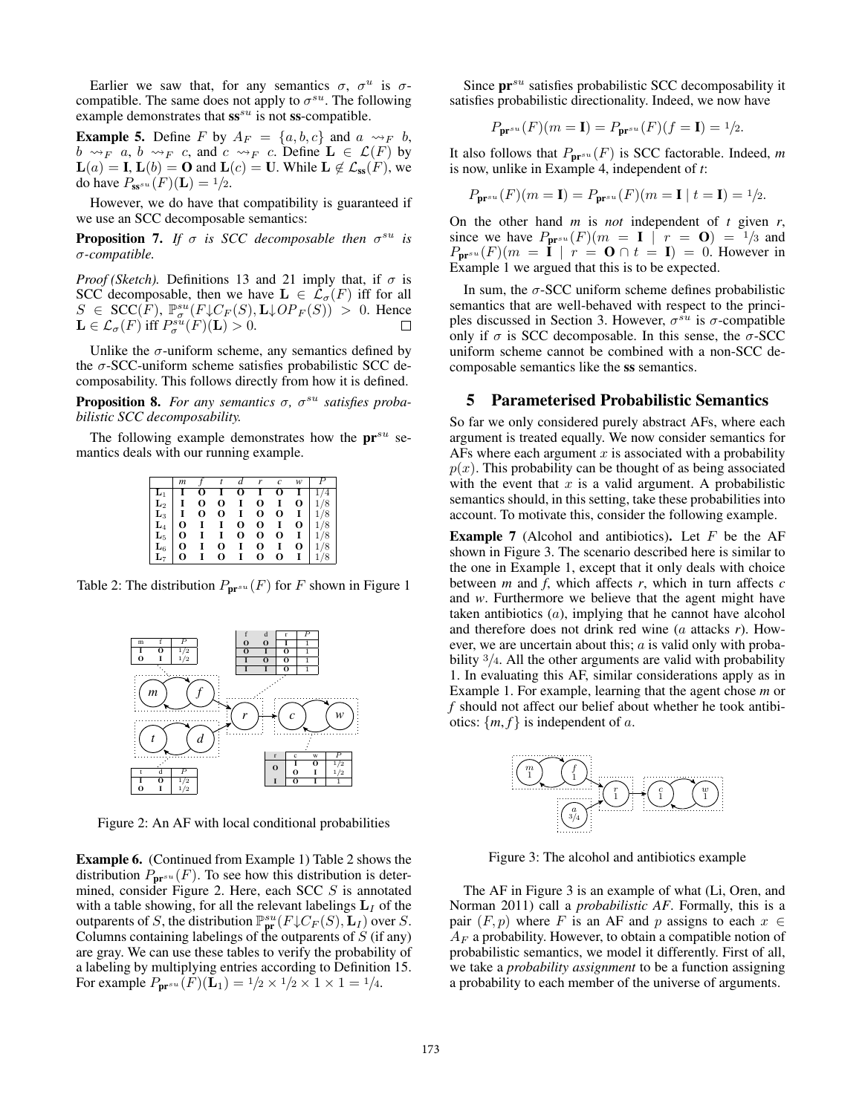Earlier we saw that, for any semantics  $\sigma$ ,  $\sigma^u$  is  $\sigma$ compatible. The same does not apply to  $\sigma^{su}$ . The following example demonstrates that  $ss^{su}$  is not ss-compatible.

**Example 5.** Define F by  $A_F = \{a, b, c\}$  and  $a \rightsquigarrow_F b$ ,  $b \rightsquigarrow_F a, b \rightsquigarrow_F c$ , and  $c \rightsquigarrow_F c$ . Define  $\mathbf{L} \in \mathcal{L}(F)$  by  $\mathbf{L}(a) = \mathbf{I}, \mathbf{L}(b) = \mathbf{O}$  and  $\mathbf{L}(c) = \mathbf{U}$ . While  $\mathbf{L} \notin \mathcal{L}_{ss}(F)$ , we do have  $P_{\mathbf{s} s^{su}}(F)(\mathbf{L}) = 1/2$ .

However, we do have that compatibility is guaranteed if we use an SCC decomposable semantics:

**Proposition 7.** If  $\sigma$  is SCC decomposable then  $\sigma^{su}$  is σ*-compatible.*

*Proof (Sketch).* Definitions 13 and 21 imply that, if  $\sigma$  is SCC decomposable, then we have  $\mathbf{L} \in \mathcal{L}_{\sigma}(F)$  iff for all  $S \in \text{SCC}(F)$ ,  $\mathbb{P}_{\sigma}^{su}(F \downarrow C_F(S), \mathbf{L} \downarrow OP_F(S)) > 0$ . Hence  $\mathbf{L} \in \mathcal{L}_{\sigma}(F)$  iff  $P_{\sigma}^{su}(F)(\mathbf{L}) > 0$ .

Unlike the  $\sigma$ -uniform scheme, any semantics defined by the  $\sigma$ -SCC-uniform scheme satisfies probabilistic SCC decomposability. This follows directly from how it is defined.

**Proposition 8.** For any semantics σ, σ<sup>su</sup> satisfies proba*bilistic SCC decomposability.*

The following example demonstrates how the  $pr^{su}$  semantics deals with our running example.

|                                                                                                                                      | m            | $\mathcal{F}$ | $\mathfrak{r}$ | $\boldsymbol{d}$ | $\mathbf{r}$ | $\mathfrak{c}$ | w | $\boldsymbol{P}$                                                                                                                                                                                                      |
|--------------------------------------------------------------------------------------------------------------------------------------|--------------|---------------|----------------|------------------|--------------|----------------|---|-----------------------------------------------------------------------------------------------------------------------------------------------------------------------------------------------------------------------|
|                                                                                                                                      |              | о             | $\mathbf{I}$   | 0                | $\bf{I}$     | 0              |   |                                                                                                                                                                                                                       |
| $\begin{array}{ c c } \hline \textbf{L}_1 & \textbf{I} \ \textbf{L}_2 & \textbf{I} \ \textbf{L}_3 & \textbf{I} \ \hline \end{array}$ |              | 0             | 0              | $\bf{I}$         | 0            | $\bf{I}$       |   | $\begin{array}{c c}\n\textbf{I} & 1/4 \\ \textbf{O} & 1/8 \\ \textbf{I} & 1/8 \\ \textbf{O} & 1/8 \\ \textbf{I} & 1/8 \\ \textbf{O} & 1/8 \\ \textbf{O} & 1/8 \\ \textbf{I} & 1/8 \\ \textbf{I} & 1/8 \\ \end{array}$ |
|                                                                                                                                      |              | $\bf{O}$      | 0              | $\bf{I}$         | 0            | 0              |   |                                                                                                                                                                                                                       |
| $\mathbf{L}_4$                                                                                                                       | $\mathbf{O}$ | $\mathbf{I}$  | $\bf{I}$       | O                | 0            | $\bf{I}$       |   |                                                                                                                                                                                                                       |
| $\mathbf{L}_5$                                                                                                                       | 0            | $\mathbf{I}$  | $\mathbf{I}$   | O                | 0            | 0              |   |                                                                                                                                                                                                                       |
| $\mathbf{L}_6$                                                                                                                       | 0            | $\mathbf{I}$  | 0              | $\mathbf{I}$     | 0            | $\mathbf{I}$   |   |                                                                                                                                                                                                                       |
|                                                                                                                                      | 0            |               | 0              | 1                | O            | 0              |   | 1/8                                                                                                                                                                                                                   |

Table 2: The distribution  $P_{\mathbf{pr}^{su}}(F)$  for F shown in Figure 1



Figure 2: An AF with local conditional probabilities

Example 6. (Continued from Example 1) Table 2 shows the distribution  $P_{\mathbf{pr}^{su}}(F)$ . To see how this distribution is determined, consider Figure 2. Here, each SCC S is annotated with a table showing, for all the relevant labelings  $L_I$  of the outparents of S, the distribution  $\mathbb{P}^{su}_{\text{pr}}(F\downarrow C_F(S), \mathbf{L}_I)$  over S. Columns containing labelings of the outparents of  $S$  (if any) are gray. We can use these tables to verify the probability of a labeling by multiplying entries according to Definition 15. For example  $P_{\bf pr}^{su}(\vec{F})(\vec{L}_1) = 1/2 \times 1/2 \times 1 \times 1 = 1/4$ .

Since  $pr^{su}$  satisfies probabilistic SCC decomposability it satisfies probabilistic directionality. Indeed, we now have

$$
P_{\mathbf{pr}^{su}}(F)(m=\mathbf{I})=P_{\mathbf{pr}^{su}}(F)(f=\mathbf{I})={}^{1/2}.
$$

It also follows that  $P_{\mathbf{pr}^{su}}(F)$  is SCC factorable. Indeed, m is now, unlike in Example 4, independent of *t*:

$$
P_{\mathbf{pr}^{su}}(F)(m = \mathbf{I}) = P_{\mathbf{pr}^{su}}(F)(m = \mathbf{I} \mid t = \mathbf{I}) = \frac{1}{2}.
$$

On the other hand *m* is *not* independent of *t* given *r*, since we have  $P_{\mathbf{pr}^{su}}(F)(m = \mathbf{I} \mid r = \mathbf{O}) = \frac{1}{3}$  and  $P_{\mathbf{pr}^{su}}(F)(m = \mathbf{i} | r = \mathbf{0} \cap t = \mathbf{I}) = 0.$  However in Example 1 we argued that this is to be expected.

In sum, the  $\sigma$ -SCC uniform scheme defines probabilistic semantics that are well-behaved with respect to the principles discussed in Section 3. However,  $\sigma^{su}$  is  $\sigma$ -compatible only if  $\sigma$  is SCC decomposable. In this sense, the  $\sigma$ -SCC uniform scheme cannot be combined with a non-SCC decomposable semantics like the ss semantics.

# 5 Parameterised Probabilistic Semantics

So far we only considered purely abstract AFs, where each argument is treated equally. We now consider semantics for AFs where each argument  $x$  is associated with a probability  $p(x)$ . This probability can be thought of as being associated with the event that  $x$  is a valid argument. A probabilistic semantics should, in this setting, take these probabilities into account. To motivate this, consider the following example.

**Example 7** (Alcohol and antibiotics). Let  $F$  be the AF shown in Figure 3. The scenario described here is similar to the one in Example 1, except that it only deals with choice between *m* and *f*, which affects *r*, which in turn affects *c* and *w*. Furthermore we believe that the agent might have taken antibiotics (a), implying that he cannot have alcohol and therefore does not drink red wine (a attacks *r*). However, we are uncertain about this;  $a$  is valid only with probability  $\frac{3}{4}$ . All the other arguments are valid with probability 1. In evaluating this AF, similar considerations apply as in Example 1. For example, learning that the agent chose *m* or *f* should not affect our belief about whether he took antibiotics:  $\{m, f\}$  is independent of a.



Figure 3: The alcohol and antibiotics example

The AF in Figure 3 is an example of what (Li, Oren, and Norman 2011) call a *probabilistic AF*. Formally, this is a pair  $(F, p)$  where F is an AF and p assigns to each  $x \in$  $A_F$  a probability. However, to obtain a compatible notion of probabilistic semantics, we model it differently. First of all, we take a *probability assignment* to be a function assigning a probability to each member of the universe of arguments.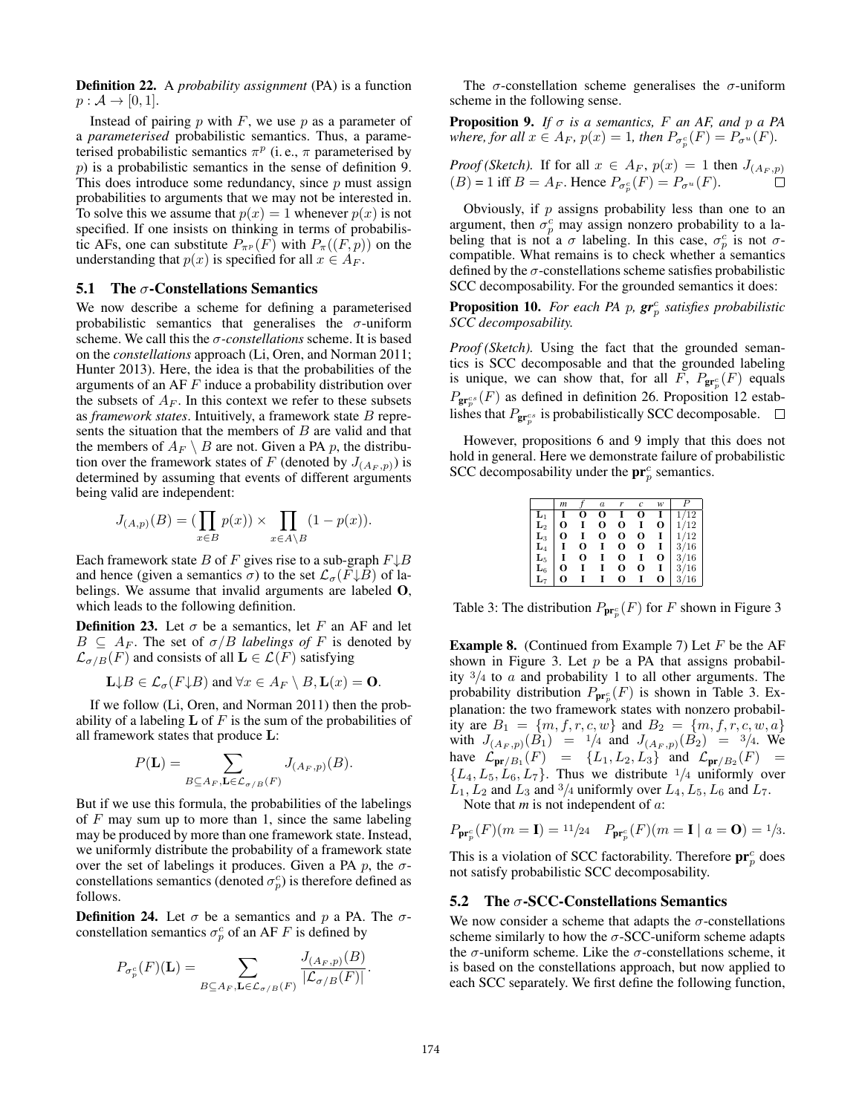Definition 22. A *probability assignment* (PA) is a function  $p : \mathcal{A} \rightarrow [0,1].$ 

Instead of pairing  $p$  with  $F$ , we use  $p$  as a parameter of a *parameterised* probabilistic semantics. Thus, a parameterised probabilistic semantics  $\pi^p$  (i.e.,  $\pi$  parameterised by p) is a probabilistic semantics in the sense of definition 9. This does introduce some redundancy, since  $p$  must assign probabilities to arguments that we may not be interested in. To solve this we assume that  $p(x) = 1$  whenever  $p(x)$  is not specified. If one insists on thinking in terms of probabilistic AFs, one can substitute  $P_{\pi^p}(F)$  with  $P_{\pi}((F, p))$  on the understanding that  $p(x)$  is specified for all  $x \in A_F$ .

#### **5.1** The  $\sigma$ -Constellations Semantics

We now describe a scheme for defining a parameterised probabilistic semantics that generalises the  $\sigma$ -uniform scheme. We call this the σ*-constellations* scheme. It is based on the *constellations* approach (Li, Oren, and Norman 2011; Hunter 2013). Here, the idea is that the probabilities of the arguments of an AF F induce a probability distribution over the subsets of  $A_F$ . In this context we refer to these subsets as *framework states*. Intuitively, a framework state B represents the situation that the members of  $B$  are valid and that the members of  $A_F \setminus B$  are not. Given a PA p, the distribution over the framework states of F (denoted by  $J_{(A_F,p)})$  is determined by assuming that events of different arguments being valid are independent:

$$
J_{(A,p)}(B) = \left(\prod_{x \in B} p(x)\right) \times \prod_{x \in A \setminus B} (1 - p(x)).
$$

Each framework state B of F gives rise to a sub-graph  $F \downarrow B$ and hence (given a semantics  $\sigma$ ) to the set  $\mathcal{L}_{\sigma}(F\downarrow B)$  of labelings. We assume that invalid arguments are labeled O, which leads to the following definition.

**Definition 23.** Let  $\sigma$  be a semantics, let F an AF and let  $B \subseteq A_F$ . The set of  $\sigma/B$  *labelings of* F is denoted by  $\mathcal{L}_{\sigma/B}(F)$  and consists of all  $\mathbf{L} \in \mathcal{L}(F)$  satisfying

$$
\mathbf{L} \downarrow B \in \mathcal{L}_{\sigma}(F \downarrow B) \text{ and } \forall x \in A_F \setminus B, \mathbf{L}(x) = \mathbf{0}.
$$

If we follow (Li, Oren, and Norman 2011) then the probability of a labeling  $L$  of F is the sum of the probabilities of all framework states that produce L:

$$
P(\mathbf{L}) = \sum_{B \subseteq A_F, \mathbf{L} \in \mathcal{L}_{\sigma/B}(F)} J_{(A_F, p)}(B).
$$

But if we use this formula, the probabilities of the labelings of  $F$  may sum up to more than 1, since the same labeling may be produced by more than one framework state. Instead, we uniformly distribute the probability of a framework state over the set of labelings it produces. Given a PA  $p$ , the  $\sigma$ constellations semantics (denoted  $\sigma_p^c$ ) is therefore defined as follows.

**Definition 24.** Let  $\sigma$  be a semantics and p a PA. The  $\sigma$ constellation semantics  $\sigma_p^c$  of an AF F is defined by

$$
P_{\sigma_p^c}(F)(\mathbf{L}) = \sum_{B \subseteq A_F, \mathbf{L} \in \mathcal{L}_{\sigma/B}(F)} \frac{J_{(A_F, p)}(B)}{|\mathcal{L}_{\sigma/B}(F)|}.
$$

The  $\sigma$ -constellation scheme generalises the  $\sigma$ -uniform scheme in the following sense.

**Proposition 9.** *If*  $\sigma$  *is a semantics,*  $F$  *an AF, and*  $p$  *a PA where, for all*  $x \in A_F$ ,  $p(x) = 1$ , then  $P_{\sigma_p^c}(F) = P_{\sigma^u}(F)$ .

*Proof (Sketch).* If for all 
$$
x \in A_F
$$
,  $p(x) = 1$  then  $J_{(A_F, p)}$   
(*B*) = 1 iff  $B = A_F$ . Hence  $P_{\sigma_p^c}(F) = P_{\sigma_u}(F)$ .

Obviously, if  $p$  assigns probability less than one to an argument, then  $\sigma_p^c$  may assign nonzero probability to a labeling that is not a  $\sigma$  labeling. In this case,  $\sigma_p^c$  is not  $\sigma$ compatible. What remains is to check whether a semantics defined by the  $\sigma$ -constellations scheme satisfies probabilistic SCC decomposability. For the grounded semantics it does:

**Proposition 10.** For each PA p,  $gr_p^c$  satisfies probabilistic *SCC decomposability.*

*Proof (Sketch).* Using the fact that the grounded semantics is SCC decomposable and that the grounded labeling is unique, we can show that, for all F,  $P_{gr_p^c}(F)$  equals  $P_{\mathbf{gr}^{cs}_{p}}(F)$  as defined in definition 26. Proposition 12 establishes that  $P_{\mathbf{gr}^{cs}_p}$  is probabilistically SCC decomposable.

However, propositions 6 and 9 imply that this does not hold in general. Here we demonstrate failure of probabilistic SCC decomposability under the  $\mathbf{pr}_p^c$  semantics.

|                | m |   | $\boldsymbol{a}$ | r | c | w |      |
|----------------|---|---|------------------|---|---|---|------|
| L1             |   | О | о                |   | О |   | '12  |
| $\mathbf{L}_2$ | О |   | О                | O |   | О | 1/12 |
| $\mathbf{L}_3$ | О |   | О                | 0 | О |   | 1/12 |
| $\mathbf{L}_4$ |   | О |                  | 0 | О |   | 3/16 |
| $\mathbf{L}_5$ |   | О |                  | 0 |   | О | 3/16 |
| $\mathbf{L}_6$ | О |   |                  | O | О |   | 3/16 |
| $\mathbf{L}_7$ | 0 |   |                  | 0 |   | O | 3/16 |

Table 3: The distribution  $P_{\text{pr}_p^c}(F)$  for F shown in Figure 3

**Example 8.** (Continued from Example 7) Let  $F$  be the AF shown in Figure 3. Let  $p$  be a PA that assigns probability  $\frac{3}{4}$  to a and probability 1 to all other arguments. The probability distribution  $P_{\mathbf{pr}_p^c}(F)$  is shown in Table 3. Explanation: the two framework states with nonzero probability are  $B_1 = \{m, f, r, c, w\}$  and  $B_2 = \{m, f, r, c, w, a\}$ with  $J_{(A_F, p)}(B_1) = 1/4$  and  $J_{(A_F, p)}(B_2) = 3/4$ . We have  $\mathcal{L}_{\text{pr}/B_1}(F) = \{L_1, L_2, L_3\}$  and  $\mathcal{L}_{\text{pr}/B_2}(F) =$  $\{L_4, L_5, L_6, L_7\}$ . Thus we distribute  $\frac{1}{4}$  uniformly over  $L_1, L_2$  and  $L_3$  and  $\frac{3}{4}$  uniformly over  $L_4, L_5, L_6$  and  $L_7$ .

Note that *m* is not independent of *a*:

$$
P_{\mathbf{pr}_p^c}(F)(m = \mathbf{I}) = \frac{11}{24}
$$
  $P_{\mathbf{pr}_p^c}(F)(m = \mathbf{I} \mid a = \mathbf{O}) = \frac{1}{3}$ .

This is a violation of SCC factorability. Therefore  $\mathbf{pr}_p^c$  does not satisfy probabilistic SCC decomposability.

#### 5.2 The  $\sigma$ -SCC-Constellations Semantics

We now consider a scheme that adapts the  $\sigma$ -constellations scheme similarly to how the  $\sigma$ -SCC-uniform scheme adapts the  $\sigma$ -uniform scheme. Like the  $\sigma$ -constellations scheme, it is based on the constellations approach, but now applied to each SCC separately. We first define the following function,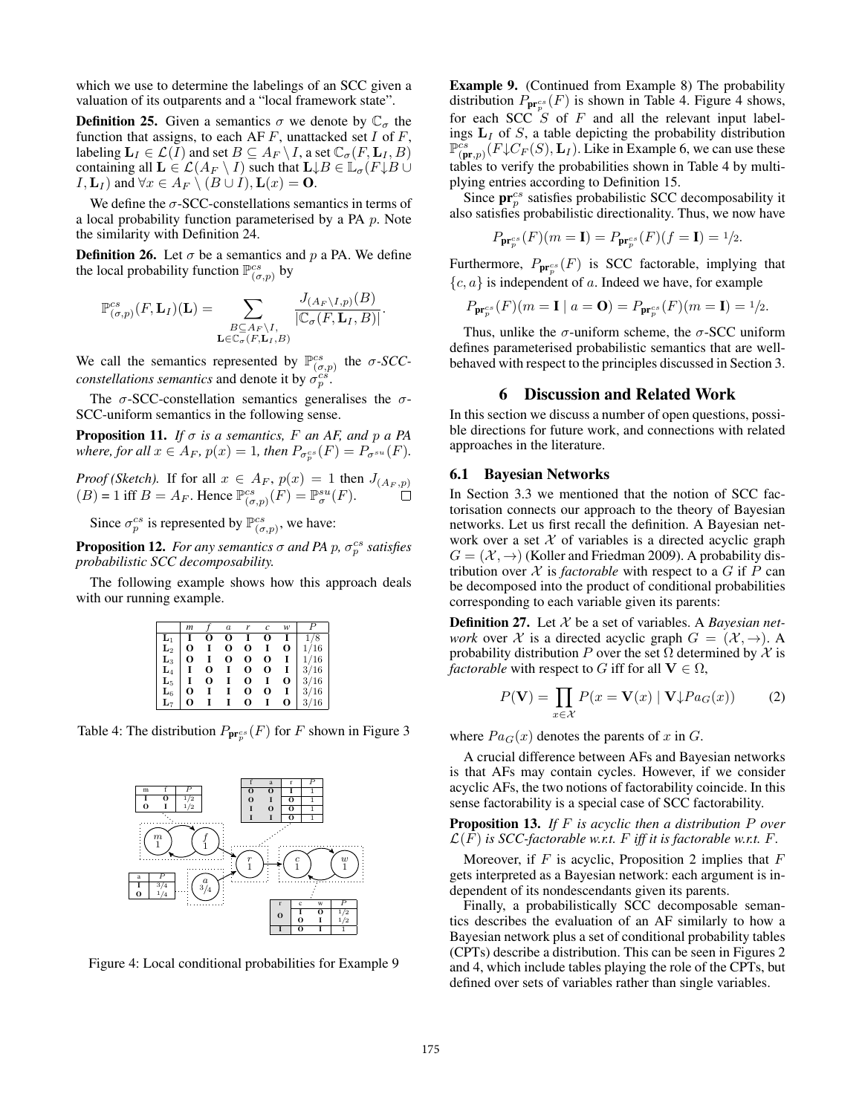which we use to determine the labelings of an SCC given a valuation of its outparents and a "local framework state".

**Definition 25.** Given a semantics  $\sigma$  we denote by  $\mathbb{C}_{\sigma}$  the function that assigns, to each AF  $F$ , unattacked set  $I$  of  $F$ , labeling  $\mathbf{L}_I \in \mathcal{L}(I)$  and set  $B \subseteq A_F \setminus I$ , a set  $\mathbb{C}_{\sigma}(F, \mathbf{L}_I, B)$ containing all  $\mathbf{L} \in \mathcal{L}(A_F \setminus I)$  such that  $\mathbf{L} \downarrow B \in \mathbb{L}_{\sigma}(F \downarrow B \cup I)$  $I, L_I$ ) and  $\forall x \in A_F \setminus (B \cup I), L(x) = 0$ .

We define the  $\sigma$ -SCC-constellations semantics in terms of a local probability function parameterised by a PA p. Note the similarity with Definition 24.

**Definition 26.** Let  $\sigma$  be a semantics and p a PA. We define the local probability function  $\mathbb{P}_{(\sigma,p)}^{cs}$  by

$$
\mathbb{P}_{(\sigma,p)}^{cs}(F,\mathbf{L}_I)(\mathbf{L})=\sum_{\substack{B\subseteq A_F\setminus I,\\ \mathbf{L}\in\mathbb{C}_{\sigma}(F,\mathbf{L}_I,B)}}\frac{J_{(A_F\setminus I,p)}(B)}{|\mathbb{C}_{\sigma}(F,\mathbf{L}_I,B)|}.
$$

We call the semantics represented by  $\mathbb{P}_{(\sigma,p)}^{cs}$  the  $\sigma$ -*SCCconstellations semantics* and denote it by  $\sigma_p^{c\hat{s}}$ .

The  $\sigma$ -SCC-constellation semantics generalises the  $\sigma$ -SCC-uniform semantics in the following sense.

**Proposition 11.** *If*  $\sigma$  *is a semantics, F an AF, and*  $p$  *a PA* where, for all  $x \in A_F$ ,  $p(x) = 1$ , then  $P_{\sigma_p^{cs}}(F) = P_{\sigma^{su}}(F)$ .

*Proof (Sketch).* If for all  $x \in A_F$ ,  $p(x) = 1$  then  $J_{(A_F, p)}$  $(B) = 1$  iff  $B = A_F$ . Hence  $\mathbb{P}^{cs}_{(\sigma,p)}(F) = \mathbb{P}^{su}_{\sigma}(F)$ .

Since  $\sigma_p^{cs}$  is represented by  $\mathbb{P}_{(\sigma,p)}^{cs}$ , we have:

**Proposition 12.** For any semantics  $\sigma$  and PA  $p$ ,  $\sigma_p^{cs}$  satisfies *probabilistic SCC decomposability.*

The following example shows how this approach deals with our running example.

|                | m |   | $\overline{a}$ |   |   | w        |      |
|----------------|---|---|----------------|---|---|----------|------|
| L۱             |   |   |                |   |   |          | 8    |
| $\mathbf{L}_2$ | О |   | о              | о |   | O        | 1/16 |
| $\mathbf{L}_3$ | О |   | о              | о | о |          | 1/16 |
| $\mathbf{L}_4$ |   | о |                | о | 0 |          | 3/16 |
| $\mathbf{L}_5$ |   | О |                | O |   | о        | 3/16 |
| $\mathbf{L}_6$ | о |   |                | о | о |          | 3/16 |
| $\mathbf{L}_7$ | o |   |                | 0 |   | $\Omega$ | 16   |

Table 4: The distribution  $P_{\mathbf{pr}_p^{cs}}(F)$  for F shown in Figure 3



Figure 4: Local conditional probabilities for Example 9

Example 9. (Continued from Example 8) The probability distribution  $P_{\mathbf{pr}_p^{cs}}(F)$  is shown in Table 4. Figure 4 shows, for each SCC  $S$  of  $F$  and all the relevant input labelings  $L_I$  of  $S$ , a table depicting the probability distribution  $\mathbb{P}_{(\textbf{pr},p)}^{cs}(\overline{F} \downarrow \overline{C_F}(S), \mathbf{L}_I)$ . Like in Example 6, we can use these tables to verify the probabilities shown in Table 4 by multiplying entries according to Definition 15.

Since  $pr_p^{cs}$  satisfies probabilistic SCC decomposability it also satisfies probabilistic directionality. Thus, we now have

$$
P_{\mathbf{pr}_p^{cs}}(F)(m=1) = P_{\mathbf{pr}_p^{cs}}(F)(f=1) = \frac{1}{2}.
$$

Furthermore,  $P_{\mathbf{pr}_p^{cs}}(F)$  is SCC factorable, implying that  ${c, a}$  is independent of a. Indeed we have, for example

$$
P_{\mathbf{pr}_p^{cs}}(F)(m=\mathbf{I} \mid a=\mathbf{O}) = P_{\mathbf{pr}_p^{cs}}(F)(m=\mathbf{I}) = \frac{1}{2}.
$$

Thus, unlike the  $\sigma$ -uniform scheme, the  $\sigma$ -SCC uniform defines parameterised probabilistic semantics that are wellbehaved with respect to the principles discussed in Section 3.

# 6 Discussion and Related Work

In this section we discuss a number of open questions, possible directions for future work, and connections with related approaches in the literature.

### 6.1 Bayesian Networks

In Section 3.3 we mentioned that the notion of SCC factorisation connects our approach to the theory of Bayesian networks. Let us first recall the definition. A Bayesian network over a set  $X$  of variables is a directed acyclic graph  $G = (\mathcal{X}, \rightarrow)$  (Koller and Friedman 2009). A probability distribution over  $X$  is *factorable* with respect to a  $G$  if  $P$  can be decomposed into the product of conditional probabilities corresponding to each variable given its parents:

Definition 27. Let X be a set of variables. A *Bayesian network* over X is a directed acyclic graph  $G = (\mathcal{X}, \rightarrow)$ . A probability distribution P over the set  $\Omega$  determined by X is *factorable* with respect to G iff for all  $V \in \Omega$ ,

$$
P(\mathbf{V}) = \prod_{x \in \mathcal{X}} P(x = \mathbf{V}(x) | \mathbf{V} \downarrow Pa_G(x)) \tag{2}
$$

where  $Pa<sub>G</sub>(x)$  denotes the parents of x in G.

A crucial difference between AFs and Bayesian networks is that AFs may contain cycles. However, if we consider acyclic AFs, the two notions of factorability coincide. In this sense factorability is a special case of SCC factorability.

Proposition 13. *If* F *is acyclic then a distribution* P *over*  $\mathcal{L}(F)$  *is SCC-factorable w.r.t.* F *iff it is factorable w.r.t.* F.

Moreover, if  $F$  is acyclic, Proposition 2 implies that  $F$ gets interpreted as a Bayesian network: each argument is independent of its nondescendants given its parents.

Finally, a probabilistically SCC decomposable semantics describes the evaluation of an AF similarly to how a Bayesian network plus a set of conditional probability tables (CPTs) describe a distribution. This can be seen in Figures 2 and 4, which include tables playing the role of the CPTs, but defined over sets of variables rather than single variables.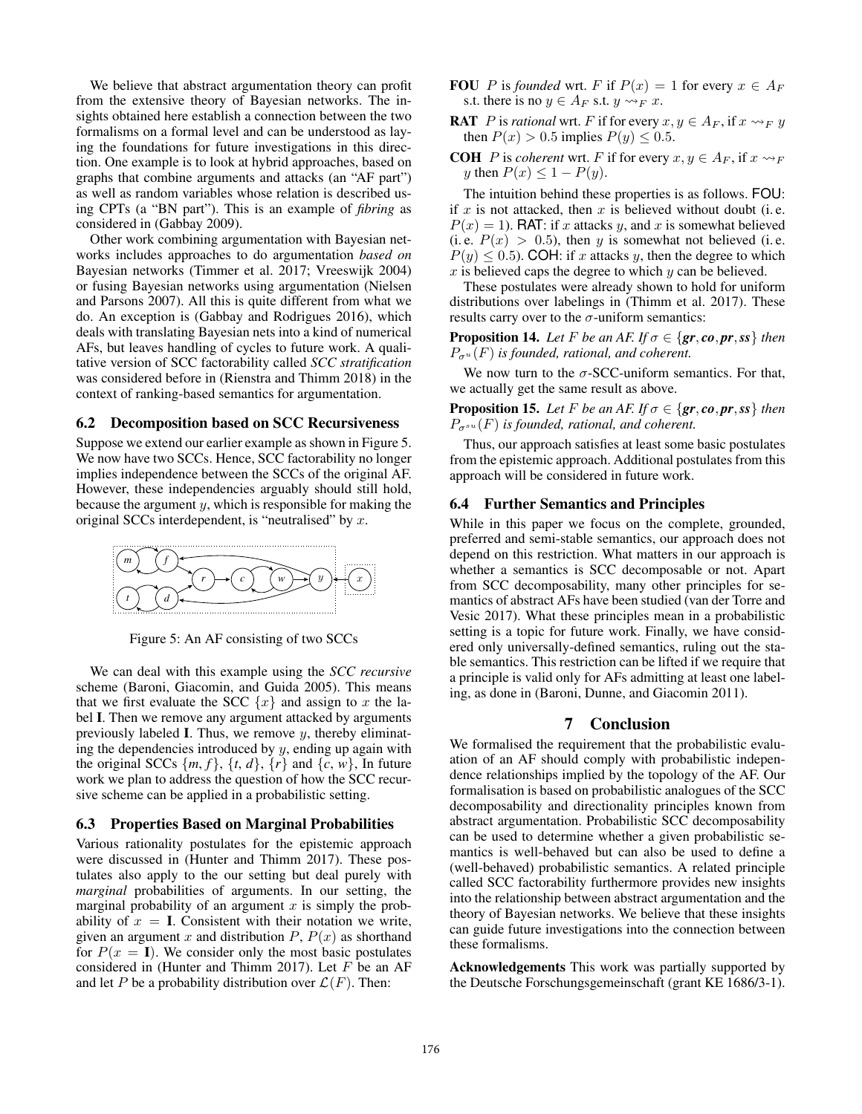We believe that abstract argumentation theory can profit from the extensive theory of Bayesian networks. The insights obtained here establish a connection between the two formalisms on a formal level and can be understood as laying the foundations for future investigations in this direction. One example is to look at hybrid approaches, based on graphs that combine arguments and attacks (an "AF part") as well as random variables whose relation is described using CPTs (a "BN part"). This is an example of *fibring* as considered in (Gabbay 2009).

Other work combining argumentation with Bayesian networks includes approaches to do argumentation *based on* Bayesian networks (Timmer et al. 2017; Vreeswijk 2004) or fusing Bayesian networks using argumentation (Nielsen and Parsons 2007). All this is quite different from what we do. An exception is (Gabbay and Rodrigues 2016), which deals with translating Bayesian nets into a kind of numerical AFs, but leaves handling of cycles to future work. A qualitative version of SCC factorability called *SCC stratification* was considered before in (Rienstra and Thimm 2018) in the context of ranking-based semantics for argumentation.

### 6.2 Decomposition based on SCC Recursiveness

Suppose we extend our earlier example as shown in Figure 5. We now have two SCCs. Hence, SCC factorability no longer implies independence between the SCCs of the original AF. However, these independencies arguably should still hold, because the argument y, which is responsible for making the original SCCs interdependent, is "neutralised" by  $x$ .



Figure 5: An AF consisting of two SCCs

We can deal with this example using the *SCC recursive* scheme (Baroni, Giacomin, and Guida 2005). This means that we first evaluate the SCC  $\{x\}$  and assign to x the label I. Then we remove any argument attacked by arguments previously labeled I. Thus, we remove  $y$ , thereby eliminating the dependencies introduced by  $y$ , ending up again with the original SCCs  $\{m, f\}$ ,  $\{t, d\}$ ,  $\{r\}$  and  $\{c, w\}$ , In future work we plan to address the question of how the SCC recursive scheme can be applied in a probabilistic setting.

### 6.3 Properties Based on Marginal Probabilities

Various rationality postulates for the epistemic approach were discussed in (Hunter and Thimm 2017). These postulates also apply to the our setting but deal purely with *marginal* probabilities of arguments. In our setting, the marginal probability of an argument  $x$  is simply the probability of  $x = I$ . Consistent with their notation we write, given an argument x and distribution  $P$ ,  $P(x)$  as shorthand for  $P(x = I)$ . We consider only the most basic postulates considered in (Hunter and Thimm 2017). Let  $F$  be an AF and let P be a probability distribution over  $\mathcal{L}(F)$ . Then:

- **FOU** P is *founded* wrt. F if  $P(x) = 1$  for every  $x \in A_F$ s.t. there is no  $y \in A_F$  s.t.  $y \rightsquigarrow_F x$ .
- **RAT** P is *rational* wrt. F if for every  $x, y \in A_F$ , if  $x \rightarrow_F y$ then  $P(x) > 0.5$  implies  $P(y) \le 0.5$ .
- **COH** P is *coherent* wrt. F if for every  $x, y \in A_F$ , if  $x \rightarrow F$ y then  $P(x) \leq 1 - P(y)$ .

The intuition behind these properties is as follows. FOU: if  $x$  is not attacked, then  $x$  is believed without doubt (i.e.  $P(x) = 1$ ). RAT: if x attacks y, and x is somewhat believed (i.e.  $P(x) > 0.5$ ), then y is somewhat not believed (i.e.  $P(y) \le 0.5$ . COH: if x attacks y, then the degree to which x is believed caps the degree to which  $y$  can be believed.

These postulates were already shown to hold for uniform distributions over labelings in (Thimm et al. 2017). These results carry over to the  $\sigma$ -uniform semantics:

**Proposition 14.** *Let* F *be an AF. If*  $\sigma \in \{gr, co, pr, ss\}$  *then*  $P_{\sigma^u}(F)$  *is founded, rational, and coherent.* 

We now turn to the  $\sigma$ -SCC-uniform semantics. For that, we actually get the same result as above.

**Proposition 15.** *Let F be an AF. If*  $\sigma \in \{gr, co, pr, ss\}$  *then*  $P_{\sigma^{su}}(F)$  *is founded, rational, and coherent.* 

Thus, our approach satisfies at least some basic postulates from the epistemic approach. Additional postulates from this approach will be considered in future work.

### 6.4 Further Semantics and Principles

While in this paper we focus on the complete, grounded, preferred and semi-stable semantics, our approach does not depend on this restriction. What matters in our approach is whether a semantics is SCC decomposable or not. Apart from SCC decomposability, many other principles for semantics of abstract AFs have been studied (van der Torre and Vesic 2017). What these principles mean in a probabilistic setting is a topic for future work. Finally, we have considered only universally-defined semantics, ruling out the stable semantics. This restriction can be lifted if we require that a principle is valid only for AFs admitting at least one labeling, as done in (Baroni, Dunne, and Giacomin 2011).

### 7 Conclusion

We formalised the requirement that the probabilistic evaluation of an AF should comply with probabilistic independence relationships implied by the topology of the AF. Our formalisation is based on probabilistic analogues of the SCC decomposability and directionality principles known from abstract argumentation. Probabilistic SCC decomposability can be used to determine whether a given probabilistic semantics is well-behaved but can also be used to define a (well-behaved) probabilistic semantics. A related principle called SCC factorability furthermore provides new insights into the relationship between abstract argumentation and the theory of Bayesian networks. We believe that these insights can guide future investigations into the connection between these formalisms.

Acknowledgements This work was partially supported by the Deutsche Forschungsgemeinschaft (grant KE 1686/3-1).